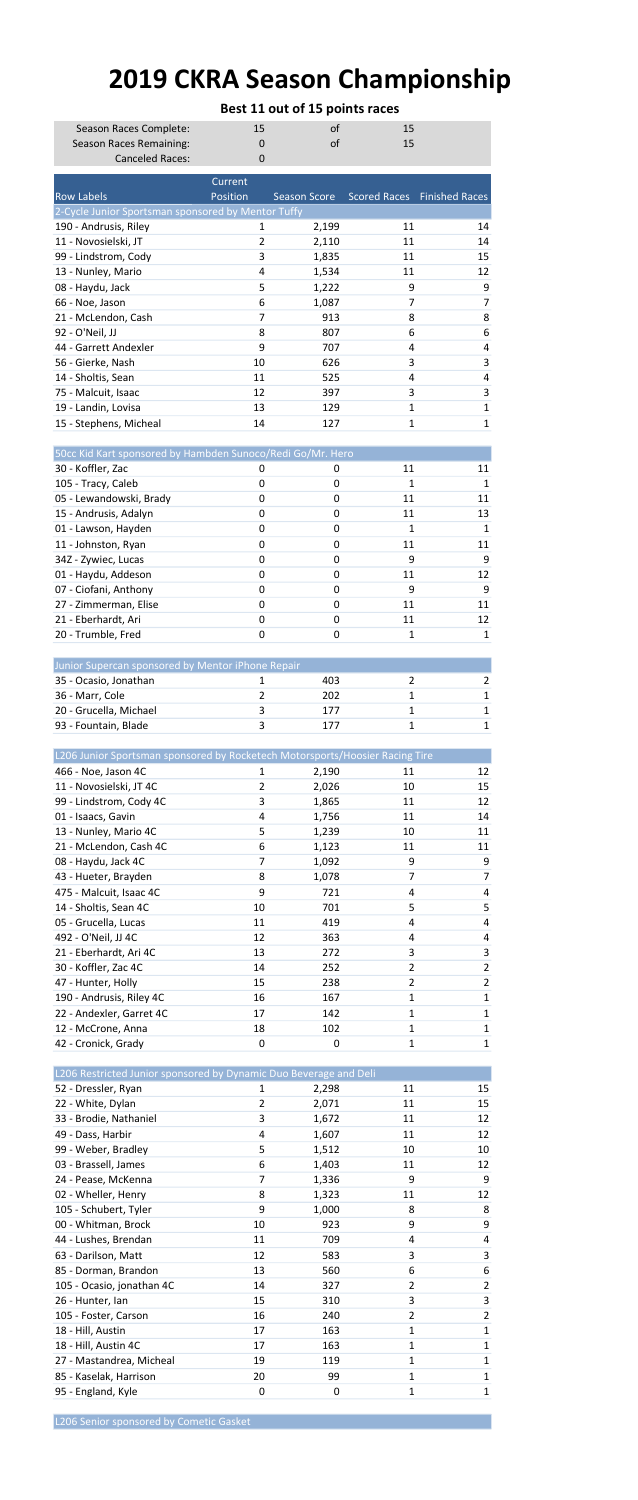## 2019 CKRA Season Championship

|                                                                              | Best 11 out of 15 points races |                |          |                             |  |  |  |  |  |
|------------------------------------------------------------------------------|--------------------------------|----------------|----------|-----------------------------|--|--|--|--|--|
| Season Races Complete:                                                       | 15<br>of<br>15                 |                |          |                             |  |  |  |  |  |
| Season Races Remaining:                                                      | 0                              | of             | 15       |                             |  |  |  |  |  |
| <b>Canceled Races:</b>                                                       | $\overline{0}$                 |                |          |                             |  |  |  |  |  |
| <b>Row Labels</b>                                                            | Current<br>Position            | Season Score   |          | Scored Races Finished Races |  |  |  |  |  |
| 2-Cycle Junior Sportsman sponsored by Mentor Tuffy                           |                                |                |          |                             |  |  |  |  |  |
| 190 - Andrusis, Riley                                                        | 1                              | 2,199          | 11       | 14                          |  |  |  |  |  |
| 11 - Novosielski, JT                                                         | 2                              | 2,110          | 11       | 14                          |  |  |  |  |  |
| 99 - Lindstrom, Cody                                                         | 3                              | 1,835          | 11       | 15                          |  |  |  |  |  |
| 13 - Nunley, Mario<br>08 - Haydu, Jack                                       | 4<br>5                         | 1,534          | 11<br>9  | 12<br>9                     |  |  |  |  |  |
| 66 - Noe, Jason                                                              | 6                              | 1,222<br>1,087 | 7        | 7                           |  |  |  |  |  |
| 21 - McLendon, Cash                                                          | 7                              | 913            | 8        | 8                           |  |  |  |  |  |
| 92 - O'Neil, JJ                                                              | 8                              | 807            | 6        | 6                           |  |  |  |  |  |
| 44 - Garrett Andexler                                                        | 9                              | 707            | 4        | 4                           |  |  |  |  |  |
| 56 - Gierke, Nash                                                            | 10                             | 626            | 3        | 3                           |  |  |  |  |  |
| 14 - Sholtis, Sean<br>75 - Malcuit, Isaac                                    | 11<br>12                       | 525<br>397     | 4<br>3   | 4<br>3                      |  |  |  |  |  |
| 19 - Landin, Lovisa                                                          | 13                             | 129            | 1        | 1                           |  |  |  |  |  |
| 15 - Stephens, Micheal                                                       | 14                             | 127            | 1        | 1                           |  |  |  |  |  |
|                                                                              |                                |                |          |                             |  |  |  |  |  |
| 50cc Kid Kart sponsored by Hambden Sunoco/Redi Go/Mr. Hero                   |                                |                |          |                             |  |  |  |  |  |
| 30 - Koffler, Zac                                                            | 0                              | 0              | 11<br>1  | 11                          |  |  |  |  |  |
| 105 - Tracy, Caleb<br>05 - Lewandowski, Brady                                | 0<br>0                         | 0<br>0         | 11       | 1<br>11                     |  |  |  |  |  |
| 15 - Andrusis, Adalyn                                                        | 0                              | 0              | 11       | 13                          |  |  |  |  |  |
| 01 - Lawson, Hayden                                                          | 0                              | 0              | 1        | 1                           |  |  |  |  |  |
| 11 - Johnston, Ryan                                                          | 0                              | 0              | 11       | 11                          |  |  |  |  |  |
| 34Z - Zywiec, Lucas                                                          | 0                              | 0              | 9        | 9                           |  |  |  |  |  |
| 01 - Haydu, Addeson                                                          | 0                              | 0              | 11       | 12                          |  |  |  |  |  |
| 07 - Ciofani, Anthony                                                        | 0<br>0                         | 0<br>0         | 9        | 9                           |  |  |  |  |  |
| 27 - Zimmerman, Elise<br>21 - Eberhardt, Ari                                 | 0                              | 0              | 11<br>11 | 11<br>12                    |  |  |  |  |  |
| 20 - Trumble, Fred                                                           | 0                              | 0              | 1        | 1                           |  |  |  |  |  |
|                                                                              |                                |                |          |                             |  |  |  |  |  |
| Junior Supercan sponsored by Mentor iPhone Repair                            |                                |                |          |                             |  |  |  |  |  |
| 35 - Ocasio, Jonathan                                                        | 1                              | 403            | 2        | 2                           |  |  |  |  |  |
| 36 - Marr, Cole                                                              | 2                              | 202            | 1        | 1<br>1                      |  |  |  |  |  |
| 20 - Grucella, Michael<br>93 - Fountain, Blade                               | 3<br>3                         | 177<br>177     | 1<br>1   | 1                           |  |  |  |  |  |
|                                                                              |                                |                |          |                             |  |  |  |  |  |
|                                                                              |                                |                |          |                             |  |  |  |  |  |
| L206 Junior Sportsman sponsored by Rocketech Motorsports/Hoosier Racing Tire |                                |                |          |                             |  |  |  |  |  |
| 466 - Noe, Jason 4C                                                          | 1                              | 2,190          | 11       | 12                          |  |  |  |  |  |
| 11 - Novosielski, JT 4C                                                      | 2                              | 2,026          | 10       | 15                          |  |  |  |  |  |
| 99 - Lindstrom, Cody 4C                                                      | 3                              | 1,865          | 11       | 12                          |  |  |  |  |  |
| 01 - Isaacs, Gavin                                                           | 4                              | 1,756          | 11       | 14                          |  |  |  |  |  |
| 13 - Nunley, Mario 4C<br>21 - McLendon, Cash 4C                              | 5<br>6                         | 1,239          | 10<br>11 | 11<br>11                    |  |  |  |  |  |
| 08 - Haydu, Jack 4C                                                          | 7                              | 1,123<br>1,092 | 9        | 9                           |  |  |  |  |  |
| 43 - Hueter, Brayden                                                         | 8                              | 1,078          | 7        | 7                           |  |  |  |  |  |
| 475 - Malcuit, Isaac 4C                                                      | 9                              | 721            | 4        | 4                           |  |  |  |  |  |
| 14 - Sholtis, Sean 4C                                                        | 10                             | 701            | 5        | 5                           |  |  |  |  |  |
| 05 - Grucella, Lucas                                                         | 11                             | 419            | 4        | 4                           |  |  |  |  |  |
| 492 - O'Neil, JJ 4C                                                          | 12                             | 363            | 4        | 4                           |  |  |  |  |  |
| 21 - Eberhardt, Ari 4C<br>30 - Koffler, Zac 4C                               | 13<br>14                       | 272<br>252     | 3<br>2   | 3<br>2                      |  |  |  |  |  |
| 47 - Hunter, Holly                                                           | 15                             | 238            | 2        | 2                           |  |  |  |  |  |
| 190 - Andrusis, Riley 4C                                                     | 16                             | 167            | 1        | 1                           |  |  |  |  |  |
| 22 - Andexler, Garret 4C                                                     | 17                             | 142            | 1        | 1                           |  |  |  |  |  |
| 12 - McCrone, Anna                                                           | 18                             | 102            | 1        | 1                           |  |  |  |  |  |
| 42 - Cronick, Grady                                                          | 0                              | 0              | 1        | 1                           |  |  |  |  |  |
| L206 Restricted Junior sponsored by Dynamic Duo Beverage and Deli            |                                |                |          |                             |  |  |  |  |  |
| 52 - Dressler, Ryan                                                          | 1                              | 2,298          | 11       | 15                          |  |  |  |  |  |
| 22 - White, Dylan                                                            | 2                              | 2,071          | 11       | 15                          |  |  |  |  |  |
| 33 - Brodie, Nathaniel                                                       | 3                              | 1,672          | 11       | 12                          |  |  |  |  |  |
| 49 - Dass, Harbir                                                            | 4                              | 1,607          | 11       | 12                          |  |  |  |  |  |
| 99 - Weber, Bradley<br>03 - Brassell, James                                  | 5                              | 1,512          | 10       | 10                          |  |  |  |  |  |
| 24 - Pease, McKenna                                                          | 6<br>7                         | 1,403<br>1,336 | 11<br>9  | 12<br>9                     |  |  |  |  |  |
| 02 - Wheller, Henry                                                          | 8                              | 1,323          | 11       | 12                          |  |  |  |  |  |
| 105 - Schubert, Tyler                                                        | 9                              | 1,000          | 8        | 8                           |  |  |  |  |  |
| 00 - Whitman, Brock                                                          | 10                             | 923            | 9        | 9                           |  |  |  |  |  |
| 44 - Lushes, Brendan                                                         | 11                             | 709            | 4        | 4                           |  |  |  |  |  |
| 63 - Darilson, Matt                                                          | 12                             | 583            | 3        | 3                           |  |  |  |  |  |
| 85 - Dorman, Brandon                                                         | 13                             | 560            | 6<br>2   | 6<br>2                      |  |  |  |  |  |
| 105 - Ocasio, jonathan 4C<br>26 - Hunter, Ian                                | 14<br>15                       | 327<br>310     | 3        | 3                           |  |  |  |  |  |
| 105 - Foster, Carson                                                         | 16                             | 240            | 2        | 2                           |  |  |  |  |  |
| 18 - Hill, Austin                                                            | 17                             | 163            | 1        | 1                           |  |  |  |  |  |
| 18 - Hill, Austin 4C                                                         | 17                             | 163            | 1        | 1                           |  |  |  |  |  |
| 27 - Mastandrea, Micheal<br>85 - Kaselak, Harrison                           | 19<br>20                       | 119<br>99      | 1<br>1   | 1<br>1                      |  |  |  |  |  |

L206 Senior sponsored by Cometic Gasket